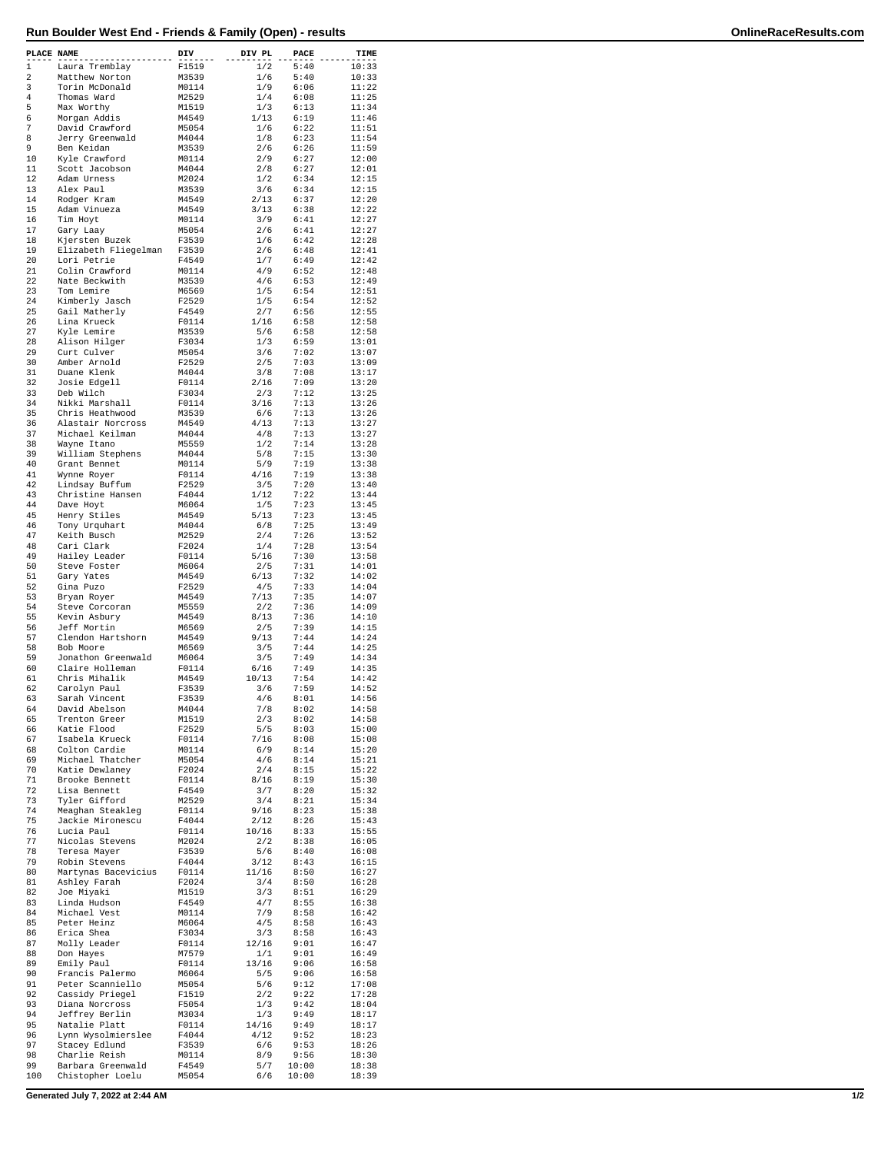| PLACE NAME   |                                       | DIV            | DIV PL              | PACE           | TIME           |
|--------------|---------------------------------------|----------------|---------------------|----------------|----------------|
| $\mathbf{1}$ | Laura Tremblay                        | F1519          | 1/2                 | 5:40           | 10:33          |
| 2            | Matthew Norton                        | M3539          | 1/6                 | 5:40           | 10:33          |
| 3<br>4       | Torin McDonald<br>Thomas Ward         | M0114<br>M2529 | 1/9<br>1/4          | 6:06<br>6:08   | 11:22<br>11:25 |
| 5            | Max Worthy                            | M1519          | 1/3                 | 6:13           | 11:34          |
| 6            | Morgan Addis                          | M4549          | 1/13                | 6:19           | 11:46          |
| 7<br>8       | David Crawford<br>Jerry Greenwald     | M5054<br>M4044 | 1/6<br>1/8          | 6:22<br>6:23   | 11:51<br>11:54 |
| 9            | Ben Keidan                            | M3539          | 2/6                 | 6:26           | 11:59          |
| 10           | Kyle Crawford                         | M0114          | 2/9                 | 6:27           | 12:00          |
| 11           | Scott Jacobson                        | M4044          | 2/8                 | 6:27           | 12:01          |
| 12<br>13     | Adam Urness<br>Alex Paul              | M2024<br>M3539 | $1/\sqrt{2}$<br>3/6 | 6:34<br>6:34   | 12:15<br>12:15 |
| 14           | Rodger Kram                           | M4549          | 2/13                | 6:37           | 12:20          |
| 15           | Adam Vinueza                          | M4549          | 3/13                | 6:38           | 12:22          |
| 16           | Tim Hoyt                              | M0114          | 3/9                 | 6:41           | 12:27          |
| 17<br>18     | Gary Laay<br>Kjersten Buzek           | M5054<br>F3539 | 2/6<br>1/6          | 6:41<br>6:42   | 12:27<br>12:28 |
| 19           | Elizabeth Fliegelman                  | F3539          | 2/6                 | 6:48           | 12:41          |
| 20           | Lori Petrie                           | F4549          | 1/7                 | 6:49           | 12:42          |
| 21<br>22     | Colin Crawford                        | M0114          | 4/9                 | 6:52           | 12:48          |
| 23           | Nate Beckwith<br>Tom Lemire           | M3539<br>M6569 | 4/6<br>1/5          | 6:53<br>6:54   | 12:49<br>12:51 |
| 24           | Kimberly Jasch                        | F2529          | $1/5$               | 6:54           | 12:52          |
| 25           | Gail Matherly                         | F4549          | 2/7                 | 6:56           | 12:55          |
| 26<br>27     | Lina Krueck<br>Kyle Lemire            | F0114<br>M3539 | 1/16<br>5/6         | 6:58<br>6:58   | 12:58<br>12:58 |
| 28           | Alison Hilger                         | F3034          | 1/3                 | 6:59           | 13:01          |
| 29           | Curt Culver                           | M5054          | 3/6                 | 7:02           | 13:07          |
| 30           | Amber Arnold                          | F2529          | 2/5                 | 7:03           | 13:09          |
| 31<br>32     | Duane Klenk<br>Josie Edgell           | M4044<br>F0114 | 3/8<br>2/16         | 7:08<br>7:09   | 13:17<br>13:20 |
| 33           | Deb Wilch                             | F3034          | 2/3                 | 7:12           | 13:25          |
| 34           | Nikki Marshall                        | F0114          | 3/16                | 7:13           | 13:26          |
| 35           | Chris Heathwood                       | M3539          | 6/6                 | 7:13           | 13:26          |
| 36<br>37     | Alastair Norcross<br>Michael Keilman  | M4549<br>M4044 | 4/13<br>4/8         | 7:13<br>7:13   | 13:27<br>13:27 |
| 38           | Wayne Itano                           | M5559          | 1/2                 | 7:14           | 13:28          |
| 39           | William Stephens                      | M4044          | 5/8                 | 7:15           | 13:30          |
| 40           | Grant Bennet                          | M0114          | 5/9                 | 7:19           | 13:38          |
| 41<br>42     | Wynne Royer<br>Lindsay Buffum         | F0114<br>F2529 | 4/16<br>3/5         | 7:19<br>7:20   | 13:38<br>13:40 |
| 43           | Christine Hansen                      | F4044          | 1/12                | 7:22           | 13:44          |
| 44           | Dave Hoyt                             | M6064          | 1/5                 | 7:23           | 13:45          |
| 45           | Henry Stiles                          | M4549          | 5/13                | 7:23           | 13:45          |
| 46<br>47     | Tony Urquhart<br>Keith Busch          | M4044<br>M2529 | 6/8<br>2/4          | 7:25<br>7:26   | 13:49<br>13:52 |
| 48           | Cari Clark                            | F2024          | 1/4                 | 7:28           | 13:54          |
| 49           | Hailey Leader                         | F0114          | 5/16                | 7:30           | 13:58          |
| 50           | Steve Foster                          | M6064          | 2/5                 | 7:31           | 14:01          |
| 51<br>52     | Gary Yates<br>Gina Puzo               | M4549<br>F2529 | 6/13<br>4/5         | 7:32<br>7:33   | 14:02<br>14:04 |
| 53           | Bryan Royer                           | M4549          | 7/13                | 7:35           | 14:07          |
| 54           | Steve Corcoran                        | M5559          | $2\,/\,2$           | 7:36           | 14:09          |
| 55           | Kevin Asbury                          | M4549          | 8/13                | 7:36           | 14:10          |
| 56<br>57     | Jeff Mortin<br>Clendon Hartshorn      | M6569<br>M4549 | 2/5<br>9/13         | 7:39<br>7:44   | 14:15<br>14:24 |
| 58           | Bob Moore                             | M6569          | 3/5                 | 7:44           | 14:25          |
| 59           | Jonathon Greenwald                    | M6064          | 3/5                 | 7:49           | 14:34          |
| 60<br>61     | Claire Holleman<br>Chris Mihalik      | F0114          | 6/16                | 7:49<br>7:54   | 14:35<br>14:42 |
| 62           | Carolyn Paul                          | M4549<br>F3539 | 10/13<br>3/6        | 7:59           | 14:52          |
| 63           | Sarah Vincent                         | F3539          | 4/6                 | 8:01           | 14:56          |
| 64           | David Abelson                         | M4044          | 7/8                 | 8:02           | 14:58          |
| 65<br>66     | Trenton Greer<br>Katie Flood          | M1519          | 2/3                 | 8:02           | 14:58<br>15:00 |
| 67           | Isabela Krueck                        | F2529<br>F0114 | 5/5<br>7/16         | 8:03<br>8:08   | 15:08          |
| 68           | Colton Cardie                         | M0114          | 6/9                 | 8:14           | 15:20          |
| 69           | Michael Thatcher                      | M5054          | 4/6                 | 8:14           | 15:21          |
| 70<br>71     | Katie Dewlaney<br>Brooke Bennett      | F2024<br>F0114 | 2/4<br>8/16         | 8:15<br>8:19   | 15:22<br>15:30 |
| 72           | Lisa Bennett                          | F4549          | 3/7                 | 8:20           | 15:32          |
| 73           | Tyler Gifford                         | M2529          | 3/4                 | 8:21           | 15:34          |
| 74           | Meaghan Steakleg                      | F0114          | 9/16                | 8:23           | 15:38          |
| 75<br>76     | Jackie Mironescu<br>Lucia Paul        | F4044<br>F0114 | 2/12<br>10/16       | 8:26<br>8:33   | 15:43<br>15:55 |
| 77           | Nicolas Stevens                       | M2024          | 2/2                 | 8:38           | 16:05          |
| 78           | Teresa Mayer                          | F3539          | 5/6                 | 8:40           | 16:08          |
| 79           | Robin Stevens                         | F4044          | 3/12                | 8:43           | 16:15          |
| 80<br>81     | Martynas Bacevicius<br>Ashley Farah   | F0114<br>F2024 | 11/16<br>3/4        | 8:50<br>8:50   | 16:27<br>16:28 |
| 82           | Joe Miyaki                            | M1519          | 3/3                 | 8:51           | 16:29          |
| 83           | Linda Hudson                          | F4549          | 4/7                 | 8:55           | 16:38          |
| 84           | Michael Vest                          | M0114          | 7/9                 | 8:58<br>8:58   | 16:42          |
| 85<br>86     | Peter Heinz<br>Erica Shea             | M6064<br>F3034 | 4/5<br>3/3          | 8:58           | 16:43<br>16:43 |
| 87           | Molly Leader                          | F0114          | 12/16               | 9:01           | 16:47          |
| 88           | Don Hayes                             | M7579          | 1/1                 | 9:01           | 16:49          |
| 89<br>90     | Emily Paul<br>Francis Palermo         | F0114<br>M6064 | 13/16<br>5/5        | 9:06<br>9:06   | 16:58<br>16:58 |
| 91           | Peter Scanniello                      | M5054          | 5/6                 | 9:12           | 17:08          |
| 92           | Cassidy Priegel                       | F1519          | 2/2                 | 9:22           | 17:28          |
| 93           | Diana Norcross                        | F5054          | 1/3                 | 9:42           | 18:04          |
| 94<br>95     | Jeffrey Berlin<br>Natalie Platt       | M3034<br>F0114 | 1/3<br>14/16        | 9:49<br>9:49   | 18:17<br>18:17 |
| 96           | Lynn Wysolmierslee                    | F4044          | 4/12                | 9:52           | 18:23          |
| 97           | Stacey Edlund                         | F3539          | 6/6                 | 9:53           | 18:26          |
| 98           | Charlie Reish                         | M0114          | 8/9                 | 9:56           | 18:30          |
| 99<br>100    | Barbara Greenwald<br>Chistopher Loelu | F4549<br>M5054 | 5/7<br>6/6          | 10:00<br>10:00 | 18:38<br>18:39 |
|              |                                       |                |                     |                |                |

**Generated July 7, 2022 at 2:44 AM 1/2**